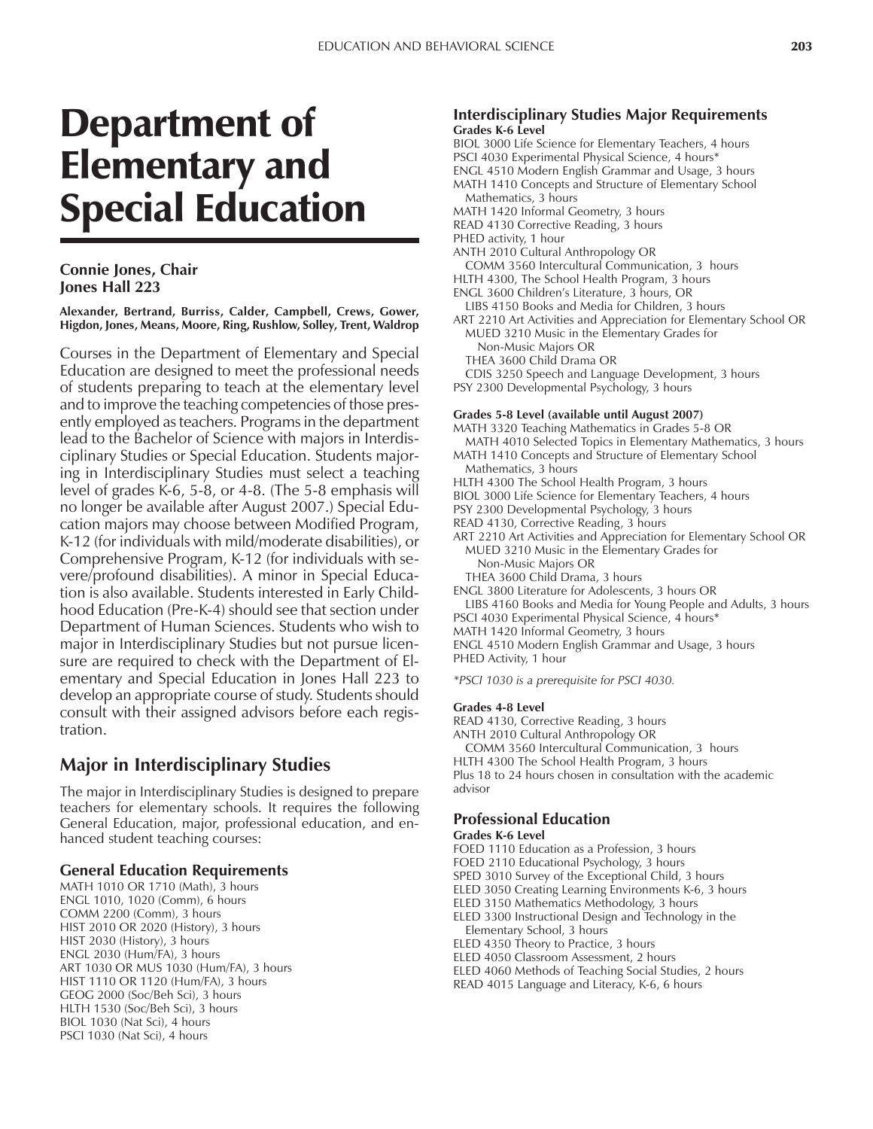# Department of Elementary and Special Education

## **Connie Jones, Chair Jones Hall 223**

**Alexander, Bertrand, Burriss, Calder, Campbell, Crews, Gower, Higdon, Jones, Means, Moore, Ring, Rushlow, Solley, Trent, Waldrop**

Courses in the Department of Elementary and Special Education are designed to meet the professional needs of students preparing to teach at the elementary level and to improve the teaching competencies of those presently employed as teachers. Programs in the department lead to the Bachelor of Science with majors in Interdisciplinary Studies or Special Education. Students majoring in Interdisciplinary Studies must select a teaching level of grades K-6, 5-8, or 4-8. (The 5-8 emphasis will no longer be available after August 2007.) Special Education majors may choose between Modified Program, K-12 (for individuals with mild/moderate disabilities), or Comprehensive Program, K-12 (for individuals with severe/profound disabilities). A minor in Special Education is also available. Students interested in Early Childhood Education (Pre-K-4) should see that section under Department of Human Sciences. Students who wish to major in Interdisciplinary Studies but not pursue licensure are required to check with the Department of Elementary and Special Education in Jones Hall 223 to develop an appropriate course of study. Students should consult with their assigned advisors before each registration.

# **Major in Interdisciplinary Studies**

The major in Interdisciplinary Studies is designed to prepare teachers for elementary schools. It requires the following General Education, major, professional education, and enhanced student teaching courses:

## **General Education Requirements**

MATH 1010 OR 1710 (Math), 3 hours ENGL 1010, 1020 (Comm), 6 hours COMM 2200 (Comm), 3 hours HIST 2010 OR 2020 (History), 3 hours HIST 2030 (History), 3 hours ENGL 2030 (Hum/FA), 3 hours ART 1030 OR MUS 1030 (Hum/FA), 3 hours HIST 1110 OR 1120 (Hum/FA), 3 hours GEOG 2000 (Soc/Beh Sci), 3 hours HLTH 1530 (Soc/Beh Sci), 3 hours BIOL 1030 (Nat Sci), 4 hours PSCI 1030 (Nat Sci), 4 hours

## **Interdisciplinary Studies Major Requirements Grades K-6 Level**

- BIOL 3000 Life Science for Elementary Teachers, 4 hours
- PSCI 4030 Experimental Physical Science, 4 hours<sup>\*</sup>
- ENGL 4510 Modern English Grammar and Usage, 3 hours MATH 1410 Concepts and Structure of Elementary School
- Mathematics, 3 hours MATH 1420 Informal Geometry, 3 hours
- READ 4130 Corrective Reading, 3 hours
- PHED activity, 1 hour
- ANTH 2010 Cultural Anthropology OR
- COMM 3560 Intercultural Communication, 3 hours
- HLTH 4300, The School Health Program, 3 hours
- ENGL 3600 Children's Literature, 3 hours, OR LIBS 4150 Books and Media for Children, 3 hours
- ART 2210 Art Activities and Appreciation for Elementary School OR MUED 3210 Music in the Elementary Grades for
- Non-Music Majors OR
- THEA 3600 Child Drama OR
- CDIS 3250 Speech and Language Development, 3 hours
- PSY 2300 Developmental Psychology, 3 hours

#### **Grades 5-8 Level (available until August 2007)**

MATH 3320 Teaching Mathematics in Grades 5-8 OR MATH 4010 Selected Topics in Elementary Mathematics, 3 hours

- MATH 1410 Concepts and Structure of Elementary School Mathematics, 3 hours
- HLTH 4300 The School Health Program, 3 hours
- BIOL 3000 Life Science for Elementary Teachers, 4 hours
- PSY 2300 Developmental Psychology, 3 hours
- READ 4130, Corrective Reading, 3 hours
- ART 2210 Art Activities and Appreciation for Elementary School OR MUED 3210 Music in the Elementary Grades for
	- Non-Music Majors OR
	- THEA 3600 Child Drama, 3 hours

ENGL 3800 Literature for Adolescents, 3 hours OR

- LIBS 4160 Books and Media for Young People and Adults, 3 hours PSCI 4030 Experimental Physical Science, 4 hours\*
- MATH 1420 Informal Geometry, 3 hours
- ENGL 4510 Modern English Grammar and Usage, 3 hours
- PHED Activity, 1 hour
- *\*PSCI 1030 is a prerequisite for PSCI 4030.*

#### **Grades 4-8 Level**

- READ 4130, Corrective Reading, 3 hours
- ANTH 2010 Cultural Anthropology OR
- COMM 3560 Intercultural Communication, 3 hours
- HLTH 4300 The School Health Program, 3 hours

Plus 18 to 24 hours chosen in consultation with the academic advisor

## **Professional Education**

#### **Grades K-6 Level**

- FOED 1110 Education as a Profession, 3 hours
- FOED 2110 Educational Psychology, 3 hours
- SPED 3010 Survey of the Exceptional Child, 3 hours
- ELED 3050 Creating Learning Environments K-6, 3 hours
- ELED 3150 Mathematics Methodology, 3 hours
- ELED 3300 Instructional Design and Technology in the Elementary School, 3 hours
- ELED 4350 Theory to Practice, 3 hours
- ELED 4050 Classroom Assessment, 2 hours
- ELED 4060 Methods of Teaching Social Studies, 2 hours
- READ 4015 Language and Literacy, K-6, 6 hours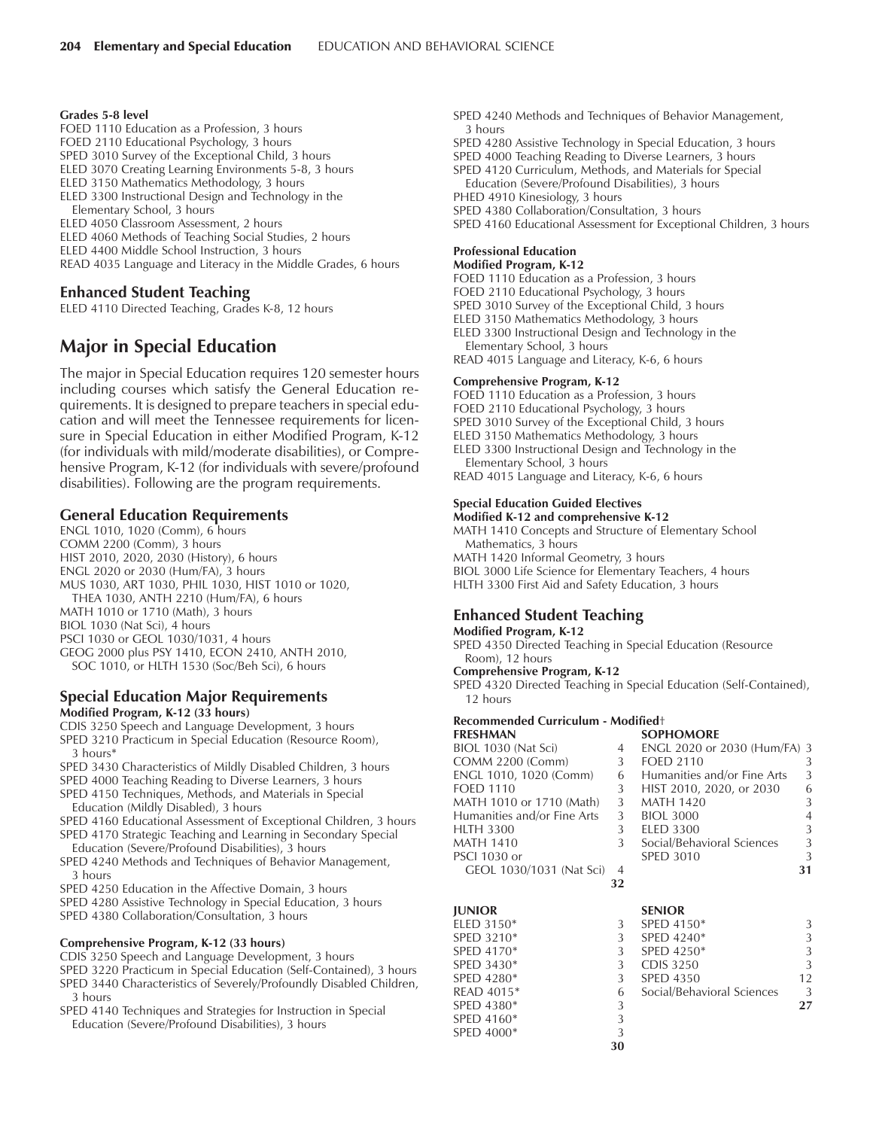#### **Grades 5-8 level**

- FOED 1110 Education as a Profession, 3 hours
- FOED 2110 Educational Psychology, 3 hours
- SPED 3010 Survey of the Exceptional Child, 3 hours
- ELED 3070 Creating Learning Environments 5-8, 3 hours
- ELED 3150 Mathematics Methodology, 3 hours
- ELED 3300 Instructional Design and Technology in the Elementary School, 3 hours
- ELED 4050 Classroom Assessment, 2 hours
- ELED 4060 Methods of Teaching Social Studies, 2 hours
- ELED 4400 Middle School Instruction, 3 hours
- READ 4035 Language and Literacy in the Middle Grades, 6 hours

## **Enhanced Student Teaching**

ELED 4110 Directed Teaching, Grades K-8, 12 hours

# **Major in Special Education**

The major in Special Education requires 120 semester hours including courses which satisfy the General Education requirements. It is designed to prepare teachers in special education and will meet the Tennessee requirements for licensure in Special Education in either Modified Program, K-12 (for individuals with mild/moderate disabilities), or Comprehensive Program, K-12 (for individuals with severe/profound disabilities). Following are the program requirements.

## **General Education Requirements**

ENGL 1010, 1020 (Comm), 6 hours COMM 2200 (Comm), 3 hours HIST 2010, 2020, 2030 (History), 6 hours ENGL 2020 or 2030 (Hum/FA), 3 hours MUS 1030, ART 1030, PHIL 1030, HIST 1010 or 1020, THEA 1030, ANTH 2210 (Hum/FA), 6 hours MATH 1010 or 1710 (Math), 3 hours BIOL 1030 (Nat Sci), 4 hours PSCI 1030 or GEOL 1030/1031, 4 hours GEOG 2000 plus PSY 1410, ECON 2410, ANTH 2010, SOC 1010, or HLTH 1530 (Soc/Beh Sci), 6 hours

#### **Special Education Major Requirements Modified Program, K-12 (33 hours)**

- CDIS 3250 Speech and Language Development, 3 hours SPED 3210 Practicum in Special Education (Resource Room), 3 hours\*
- SPED 3430 Characteristics of Mildly Disabled Children, 3 hours
- SPED 4000 Teaching Reading to Diverse Learners, 3 hours
- SPED 4150 Techniques, Methods, and Materials in Special Education (Mildly Disabled), 3 hours
- SPED 4160 Educational Assessment of Exceptional Children, 3 hours SPED 4170 Strategic Teaching and Learning in Secondary Special
- Education (Severe/Profound Disabilities), 3 hours
- SPED 4240 Methods and Techniques of Behavior Management, 3 hours
- SPED 4250 Education in the Affective Domain, 3 hours
- SPED 4280 Assistive Technology in Special Education, 3 hours
- SPED 4380 Collaboration/Consultation, 3 hours

#### **Comprehensive Program, K-12 (33 hours)**

- CDIS 3250 Speech and Language Development, 3 hours
- SPED 3220 Practicum in Special Education (Self-Contained), 3 hours
- SPED 3440 Characteristics of Severely/Profoundly Disabled Children, 3 hours
- SPED 4140 Techniques and Strategies for Instruction in Special Education (Severe/Profound Disabilities), 3 hours
- SPED 4240 Methods and Techniques of Behavior Management, 3 hours
- SPED 4280 Assistive Technology in Special Education, 3 hours
- SPED 4000 Teaching Reading to Diverse Learners, 3 hours
- SPED 4120 Curriculum, Methods, and Materials for Special Education (Severe/Profound Disabilities), 3 hours
- PHED 4910 Kinesiology, 3 hours
- SPED 4380 Collaboration/Consultation, 3 hours
- SPED 4160 Educational Assessment for Exceptional Children, 3 hours

#### **Professional Education Modified Program, K-12**

- FOED 1110 Education as a Profession, 3 hours
- FOED 2110 Educational Psychology, 3 hours
- SPED 3010 Survey of the Exceptional Child, 3 hours
- ELED 3150 Mathematics Methodology, 3 hours
- ELED 3300 Instructional Design and Technology in the Elementary School, 3 hours
- READ 4015 Language and Literacy, K-6, 6 hours

#### **Comprehensive Program, K-12**

- FOED 1110 Education as a Profession, 3 hours
- FOED 2110 Educational Psychology, 3 hours
- SPED 3010 Survey of the Exceptional Child, 3 hours
- ELED 3150 Mathematics Methodology, 3 hours
- ELED 3300 Instructional Design and Technology in the Elementary School, 3 hours
- READ 4015 Language and Literacy, K-6, 6 hours

# **Special Education Guided Electives**

**Modified K-12 and comprehensive K-12** MATH 1410 Concepts and Structure of Elementary School Mathematics, 3 hours MATH 1420 Informal Geometry, 3 hours BIOL 3000 Life Science for Elementary Teachers, 4 hours

HLTH 3300 First Aid and Safety Education, 3 hours

# **Enhanced Student Teaching**

#### **Modified Program, K-12**

SPED 4350 Directed Teaching in Special Education (Resource Room), 12 hours

#### **Comprehensive Program, K-12**

SPED 4000\* 3

SPED 4320 Directed Teaching in Special Education (Self-Contained), 12 hours

# **Recommended Curriculum - Modifiedt**

| <b>FRESHMAN</b>             |                | <b>SOPHOMORE</b>             |                |
|-----------------------------|----------------|------------------------------|----------------|
| BIOL 1030 (Nat Sci)         | 4              | ENGL 2020 or 2030 (Hum/FA) 3 |                |
| <b>COMM 2200 (Comm)</b>     | 3              | <b>FOED 2110</b>             | 3              |
| ENGL 1010, 1020 (Comm)      | 6              | Humanities and/or Fine Arts  | 3              |
| <b>FOED 1110</b>            | 3              | HIST 2010, 2020, or 2030     | 6              |
| MATH 1010 or 1710 (Math)    | 3              | <b>MATH 1420</b>             | 3              |
| Humanities and/or Fine Arts | 3              | BIOL 3000                    | $\overline{4}$ |
| <b>HLTH 3300</b>            | 3              | <b>ELED 3300</b>             | 3              |
| <b>MATH 1410</b>            | 3              | Social/Behavioral Sciences   | 3              |
| <b>PSCI 1030 or</b>         |                | <b>SPED 3010</b>             | 3              |
| GEOL 1030/1031 (Nat Sci)    | $\overline{4}$ |                              | 31             |
|                             | 32             |                              |                |
| <b>JUNIOR</b>               |                | <b>SENIOR</b>                |                |
| ELED 3150*                  | 3              | SPED 4150*                   | 3              |
| SPED 3210*                  | 3              | SPED $4240*$                 | 3              |
| SPED 4170*                  | 3              | SPED 4250*                   | 3              |
| SPED 3430*                  | 3              | <b>CDIS 3250</b>             | 3              |
| SPED 4280*                  | 3              | <b>SPED 4350</b>             | 12             |
| READ 4015*                  | 6              | Social/Behavioral Sciences   | 3              |
| SPED 4380*                  | 3              |                              | 27             |
| SPED 4160*                  | 3              |                              |                |

**30**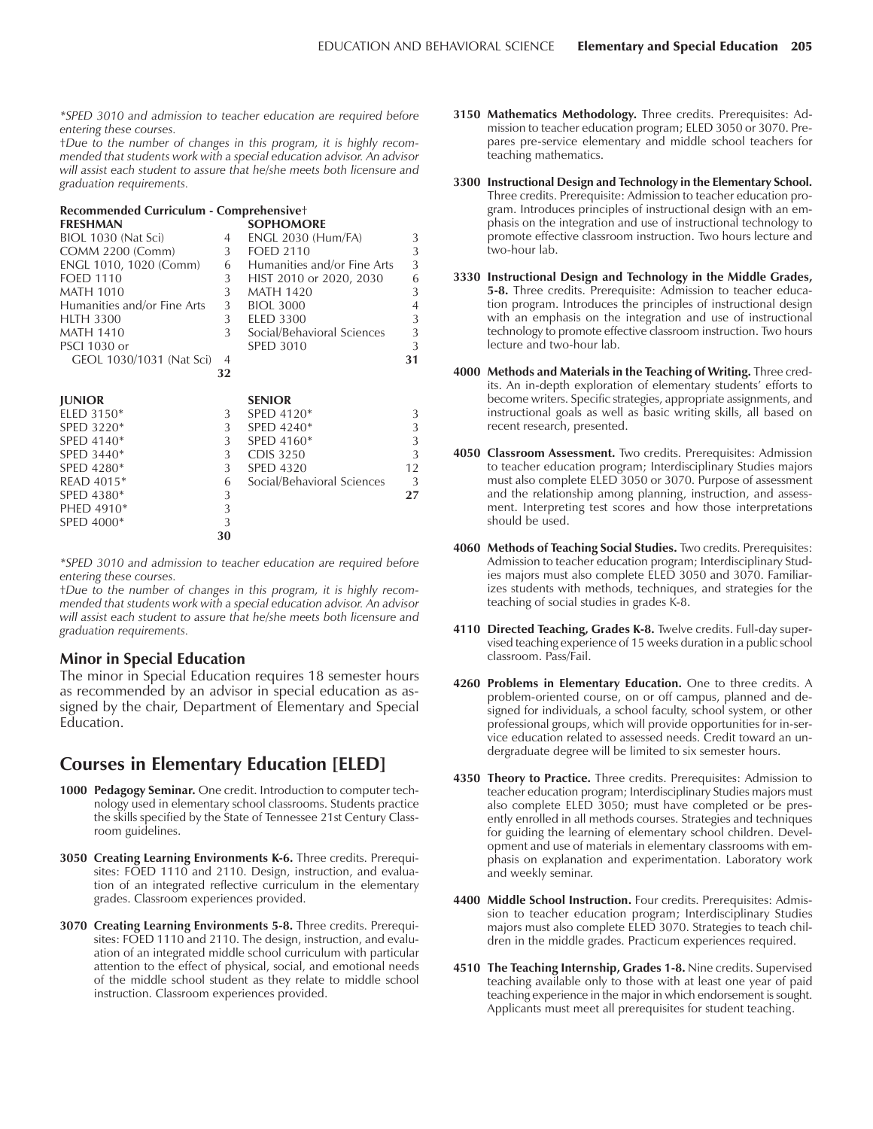*\*SPED 3010 and admission to teacher education are required before entering these courses.*

tDue to the number of changes in this program, it is highly recom*mended that students work with a special education advisor. An advisor will assist each student to assure that he/she meets both licensure and graduation requirements.*

#### **Recommended Curriculum - Comprehensive**<sup>+</sup>

| <b>FRESHMAN</b>             |    | <b>SOPHOMORE</b>            |                |
|-----------------------------|----|-----------------------------|----------------|
| BIOL 1030 (Nat Sci)         | 4  | <b>ENGL 2030 (Hum/FA)</b>   | 3              |
| COMM 2200 (Comm)            | 3  | <b>FOED 2110</b>            | 3              |
| ENGL 1010, 1020 (Comm)      | 6  | Humanities and/or Fine Arts | 3              |
| <b>FOED 1110</b>            | 3  | HIST 2010 or 2020, 2030     | 6              |
| <b>MATH 1010</b>            | 3  | MATH 1420                   | 3              |
| Humanities and/or Fine Arts | 3  | <b>BIOL 3000</b>            | $\overline{4}$ |
| <b>HLTH 3300</b>            | 3  | <b>ELED 3300</b>            | 3              |
| <b>MATH 1410</b>            | 3  | Social/Behavioral Sciences  | 3              |
| <b>PSCI 1030 or</b>         |    | <b>SPED 3010</b>            | 3              |
| GEOL 1030/1031 (Nat Sci)    | 4  |                             | 31             |
|                             | 32 |                             |                |
| <b>JUNIOR</b>               |    | <b>SENIOR</b>               |                |
| ELED 3150*                  | 3  | SPED 4120*                  | 3              |
| SPED 3220*                  | 3  | SPED 4240*                  | 3              |
| SPED 4140*                  | 3  | SPED 4160*                  | 3              |
| SPED 3440 <sup>*</sup>      |    |                             | 3              |
|                             | 3  | <b>CDIS 3250</b>            |                |
| SPED 4280*                  | 3  | <b>SPED 4320</b>            | 12             |
| READ 4015*                  | 6  | Social/Behavioral Sciences  | 3              |
| SPED 4380*                  | 3  |                             | 27             |
| PHED 4910*                  | 3  |                             |                |

*\*SPED 3010 and admission to teacher education are required before entering these courses.*

**30**

tDue to the number of changes in this program, it is highly recom*mended that students work with a special education advisor. An advisor will assist each student to assure that he/she meets both licensure and graduation requirements.*

#### **Minor in Special Education**

The minor in Special Education requires 18 semester hours as recommended by an advisor in special education as assigned by the chair, Department of Elementary and Special Education.

# **Courses in Elementary Education [ELED]**

- **1000 Pedagogy Seminar.** One credit. Introduction to computer technology used in elementary school classrooms. Students practice the skills specified by the State of Tennessee 21st Century Classroom guidelines.
- **3050 Creating Learning Environments K-6.** Three credits. Prerequisites: FOED 1110 and 2110. Design, instruction, and evaluation of an integrated reflective curriculum in the elementary grades. Classroom experiences provided.
- **3070 Creating Learning Environments 5-8.** Three credits. Prerequisites: FOED 1110 and 2110. The design, instruction, and evaluation of an integrated middle school curriculum with particular attention to the effect of physical, social, and emotional needs of the middle school student as they relate to middle school instruction. Classroom experiences provided.
- **3150 Mathematics Methodology.** Three credits. Prerequisites: Admission to teacher education program; ELED 3050 or 3070. Prepares pre-service elementary and middle school teachers for teaching mathematics.
- **3300 Instructional Design and Technology in the Elementary School.** Three credits. Prerequisite: Admission to teacher education program. Introduces principles of instructional design with an emphasis on the integration and use of instructional technology to promote effective classroom instruction. Two hours lecture and two-hour lab.
- **3330 Instructional Design and Technology in the Middle Grades, 5-8.** Three credits. Prerequisite: Admission to teacher education program. Introduces the principles of instructional design with an emphasis on the integration and use of instructional technology to promote effective classroom instruction. Two hours lecture and two-hour lab.
- **4000 Methods and Materials in the Teaching of Writing.** Three credits. An in-depth exploration of elementary students' efforts to become writers. Specific strategies, appropriate assignments, and instructional goals as well as basic writing skills, all based on recent research, presented.
- **4050 Classroom Assessment.** Two credits. Prerequisites: Admission to teacher education program; Interdisciplinary Studies majors must also complete ELED 3050 or 3070. Purpose of assessment and the relationship among planning, instruction, and assessment. Interpreting test scores and how those interpretations should be used.
- **4060 Methods of Teaching Social Studies.** Two credits. Prerequisites: Admission to teacher education program; Interdisciplinary Studies majors must also complete ELED 3050 and 3070. Familiarizes students with methods, techniques, and strategies for the teaching of social studies in grades K-8.
- **4110 Directed Teaching, Grades K-8.** Twelve credits. Full-day supervised teaching experience of 15 weeks duration in a public school classroom. Pass/Fail.
- **4260 Problems in Elementary Education.** One to three credits. A problem-oriented course, on or off campus, planned and designed for individuals, a school faculty, school system, or other professional groups, which will provide opportunities for in-service education related to assessed needs. Credit toward an undergraduate degree will be limited to six semester hours.
- **4350 Theory to Practice.** Three credits. Prerequisites: Admission to teacher education program; Interdisciplinary Studies majors must also complete ELED 3050; must have completed or be presently enrolled in all methods courses. Strategies and techniques for guiding the learning of elementary school children. Development and use of materials in elementary classrooms with emphasis on explanation and experimentation. Laboratory work and weekly seminar.
- **4400 Middle School Instruction.** Four credits. Prerequisites: Admission to teacher education program; Interdisciplinary Studies majors must also complete ELED 3070. Strategies to teach children in the middle grades. Practicum experiences required.
- **4510 The Teaching Internship, Grades 1-8.** Nine credits. Supervised teaching available only to those with at least one year of paid teaching experience in the major in which endorsement is sought. Applicants must meet all prerequisites for student teaching.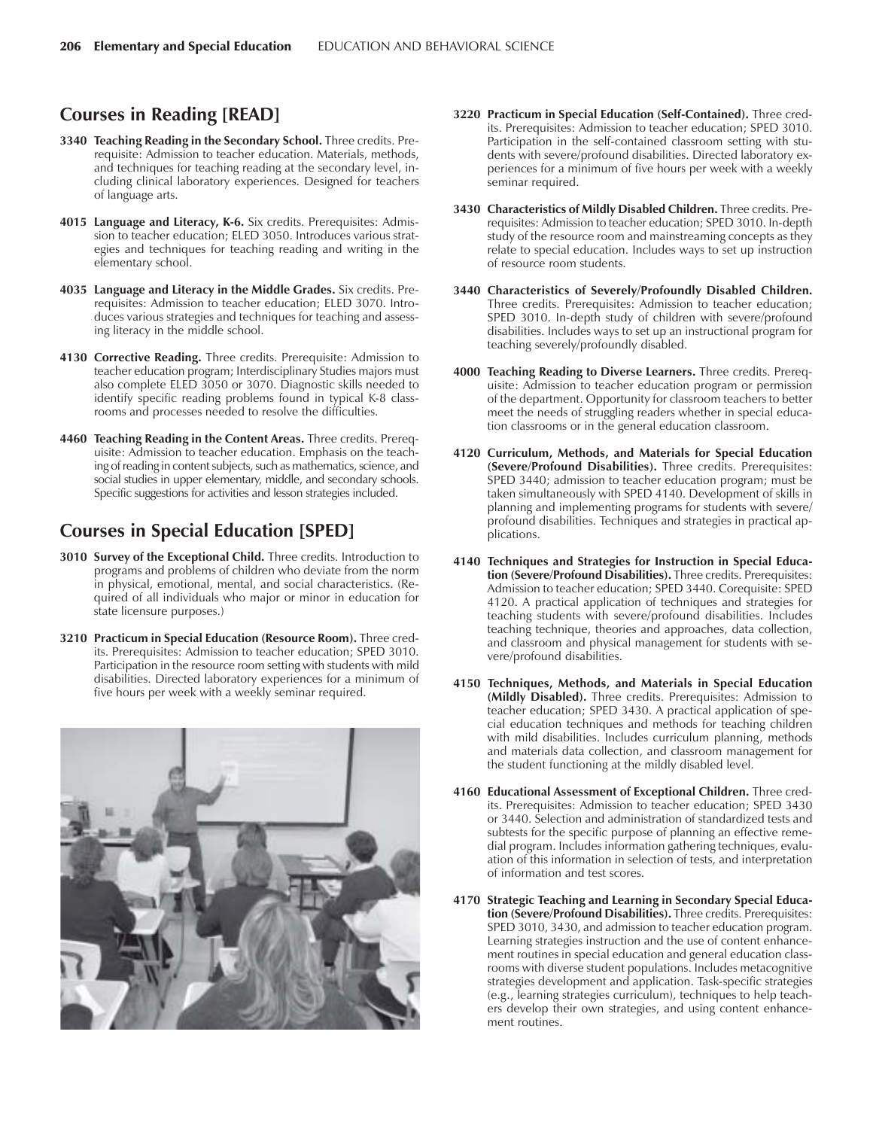# **Courses in Reading [READ]**

- **3340 Teaching Reading in the Secondary School.** Three credits. Prerequisite: Admission to teacher education. Materials, methods, and techniques for teaching reading at the secondary level, including clinical laboratory experiences. Designed for teachers of language arts.
- **4015 Language and Literacy, K-6.** Six credits. Prerequisites: Admission to teacher education; ELED 3050. Introduces various strategies and techniques for teaching reading and writing in the elementary school.
- **4035 Language and Literacy in the Middle Grades.** Six credits. Prerequisites: Admission to teacher education; ELED 3070. Introduces various strategies and techniques for teaching and assessing literacy in the middle school.
- **4130 Corrective Reading.** Three credits. Prerequisite: Admission to teacher education program; Interdisciplinary Studies majors must also complete ELED 3050 or 3070. Diagnostic skills needed to identify specific reading problems found in typical K-8 classrooms and processes needed to resolve the difficulties.
- **4460 Teaching Reading in the Content Areas.** Three credits. Prerequisite: Admission to teacher education. Emphasis on the teaching of reading in content subjects, such as mathematics, science, and social studies in upper elementary, middle, and secondary schools. Specific suggestions for activities and lesson strategies included.

# **Courses in Special Education [SPED]**

- **3010 Survey of the Exceptional Child.** Three credits. Introduction to programs and problems of children who deviate from the norm in physical, emotional, mental, and social characteristics. (Required of all individuals who major or minor in education for state licensure purposes.)
- **3210 Practicum in Special Education (Resource Room).** Three credits. Prerequisites: Admission to teacher education; SPED 3010. Participation in the resource room setting with students with mild disabilities. Directed laboratory experiences for a minimum of five hours per week with a weekly seminar required.



- **3220 Practicum in Special Education (Self-Contained).** Three credits. Prerequisites: Admission to teacher education; SPED 3010. Participation in the self-contained classroom setting with students with severe/profound disabilities. Directed laboratory experiences for a minimum of five hours per week with a weekly seminar required.
- **3430 Characteristics of Mildly Disabled Children.** Three credits. Prerequisites: Admission to teacher education; SPED 3010. In-depth study of the resource room and mainstreaming concepts as they relate to special education. Includes ways to set up instruction of resource room students.
- **3440 Characteristics of Severely/Profoundly Disabled Children.** Three credits. Prerequisites: Admission to teacher education; SPED 3010. In-depth study of children with severe/profound disabilities. Includes ways to set up an instructional program for teaching severely/profoundly disabled.
- **4000 Teaching Reading to Diverse Learners.** Three credits. Prerequisite: Admission to teacher education program or permission of the department. Opportunity for classroom teachers to better meet the needs of struggling readers whether in special education classrooms or in the general education classroom.
- **4120 Curriculum, Methods, and Materials for Special Education (Severe/Profound Disabilities).** Three credits. Prerequisites: SPED 3440; admission to teacher education program; must be taken simultaneously with SPED 4140. Development of skills in planning and implementing programs for students with severe/ profound disabilities. Techniques and strategies in practical applications.
- **4140 Techniques and Strategies for Instruction in Special Education (Severe/Profound Disabilities).** Three credits. Prerequisites: Admission to teacher education; SPED 3440. Corequisite: SPED 4120. A practical application of techniques and strategies for teaching students with severe/profound disabilities. Includes teaching technique, theories and approaches, data collection, and classroom and physical management for students with severe/profound disabilities.
- **4150 Techniques, Methods, and Materials in Special Education (Mildly Disabled).** Three credits. Prerequisites: Admission to teacher education; SPED 3430. A practical application of special education techniques and methods for teaching children with mild disabilities. Includes curriculum planning, methods and materials data collection, and classroom management for the student functioning at the mildly disabled level.
- **4160 Educational Assessment of Exceptional Children.** Three credits. Prerequisites: Admission to teacher education; SPED 3430 or 3440. Selection and administration of standardized tests and subtests for the specific purpose of planning an effective remedial program. Includes information gathering techniques, evaluation of this information in selection of tests, and interpretation of information and test scores.
- **4170 Strategic Teaching and Learning in Secondary Special Education (Severe/Profound Disabilities).** Three credits. Prerequisites: SPED 3010, 3430, and admission to teacher education program. Learning strategies instruction and the use of content enhancement routines in special education and general education classrooms with diverse student populations. Includes metacognitive strategies development and application. Task-specific strategies (e.g., learning strategies curriculum), techniques to help teachers develop their own strategies, and using content enhancement routines.